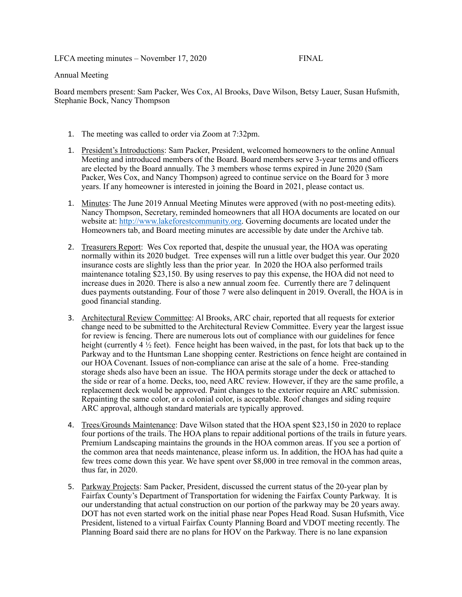LFCA meeting minutes – November 17, 2020 FINAL

## Annual Meeting

Board members present: Sam Packer, Wes Cox, Al Brooks, Dave Wilson, Betsy Lauer, Susan Hufsmith, Stephanie Bock, Nancy Thompson

- 1. The meeting was called to order via Zoom at 7:32pm.
- 1. President's Introductions: Sam Packer, President, welcomed homeowners to the online Annual Meeting and introduced members of the Board. Board members serve 3-year terms and officers are elected by the Board annually. The 3 members whose terms expired in June 2020 (Sam Packer, Wes Cox, and Nancy Thompson) agreed to continue service on the Board for 3 more years. If any homeowner is interested in joining the Board in 2021, please contact us.
- 1. Minutes: The June 2019 Annual Meeting Minutes were approved (with no post-meeting edits). Nancy Thompson, Secretary, reminded homeowners that all HOA documents are located on our website at:<http://www.lakeforestcommunity.org>. Governing documents are located under the Homeowners tab, and Board meeting minutes are accessible by date under the Archive tab.
- 2. Treasurers Report: Wes Cox reported that, despite the unusual year, the HOA was operating normally within its 2020 budget. Tree expenses will run a little over budget this year. Our 2020 insurance costs are slightly less than the prior year. In 2020 the HOA also performed trails maintenance totaling \$23,150. By using reserves to pay this expense, the HOA did not need to increase dues in 2020. There is also a new annual zoom fee. Currently there are 7 delinquent dues payments outstanding. Four of those 7 were also delinquent in 2019. Overall, the HOA is in good financial standing.
- 3. Architectural Review Committee: Al Brooks, ARC chair, reported that all requests for exterior change need to be submitted to the Architectural Review Committee. Every year the largest issue for review is fencing. There are numerous lots out of compliance with our guidelines for fence height (currently  $4\frac{1}{2}$  feet). Fence height has been waived, in the past, for lots that back up to the Parkway and to the Huntsman Lane shopping center. Restrictions on fence height are contained in our HOA Covenant. Issues of non-compliance can arise at the sale of a home. Free-standing storage sheds also have been an issue. The HOA permits storage under the deck or attached to the side or rear of a home. Decks, too, need ARC review. However, if they are the same profile, a replacement deck would be approved. Paint changes to the exterior require an ARC submission. Repainting the same color, or a colonial color, is acceptable. Roof changes and siding require ARC approval, although standard materials are typically approved.
- 4. Trees/Grounds Maintenance: Dave Wilson stated that the HOA spent \$23,150 in 2020 to replace four portions of the trails. The HOA plans to repair additional portions of the trails in future years. Premium Landscaping maintains the grounds in the HOA common areas. If you see a portion of the common area that needs maintenance, please inform us. In addition, the HOA has had quite a few trees come down this year. We have spent over \$8,000 in tree removal in the common areas, thus far, in 2020.
- 5. Parkway Projects: Sam Packer, President, discussed the current status of the 20-year plan by Fairfax County's Department of Transportation for widening the Fairfax County Parkway. It is our understanding that actual construction on our portion of the parkway may be 20 years away. DOT has not even started work on the initial phase near Popes Head Road. Susan Hufsmith, Vice President, listened to a virtual Fairfax County Planning Board and VDOT meeting recently. The Planning Board said there are no plans for HOV on the Parkway. There is no lane expansion